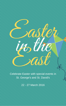

## Celebrate Easter with special events in  $\mathcal{S}t$ . George's and  $\mathcal{S}t$ . David's

 $22/27$  March 2016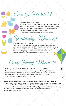Wednesday, March 23

## **Bermuda Baked: 5.30 7.30pm**

Tuesday, March 22

St. George's award-winning Sweet Saak Bakery can teach you to make traditional Bermudian Easter meal, fish cakes and hot cross buns! \$45/person includes instructional 2-hr class, recipe card, ingredients, finished products, snacks and fun! To book email info@sweetsaak.bm or call 441.297.0663

Make your own Bermuda Kite, a Good Friday tradition! Master kite-maker and young St. Georgian Ardon Heyliger will guide you through the amazing art and science of Bermuda's kites. \$45/person includes instructional 2-hr class, kite-making supplies, your finished kite, snacks and fun! To book email info@hub1tourism.com or call 441.705.1838

### **Kites with Ardon: 5.00 7.00pm**

**St. George's Cricket Club 5k Walk Around the Towne: 9.00 10.00am** Join our community club for their annual fundraising walk! This family-friendly activity will began and end at historic St. George's Cricket Club and lead you around the olde towne. \$15/adults. \$5/17 and under. \$30/families of 4 or more. To register email stgeorgescc@logic.bm or call 441.297.0374.

Good Friday, March 25

**East End Ministerial Alliance presents 'Jesus' Walk to Calvary': 10.45am 12.30pm** Follow in Jesus footsteps and witness his crucifixion as part of this annual religious pageant and reenactment. The Walk to Calvary starts at Ebenezer Methodist Church, visits several churches including Stella Maris, The Unfinished Church and Their Majesties Chappel St. Peter's Church, and ends with the 'Crucifixion' at Ordnance Island. For more information email transformingarts@gmail.com.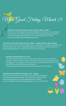**St. David's Cricket Club Gilbert Lamb Fun Day: 11.00am 6.00pm** Don't miss one of the biggest Good Friday celebrations in Bermuda! The annual Gilbert Lamb Day has music, games, kite flying, and the always popular Mohawk Grande Prix Go-Kart race and Ranging Bike Races. Tons of food, drinks and toys for sale. For more information email stdavidsccc@gmail.com.

#### **Gombeys Clearwater Beach: ALL DAY**

Come chill out at the beach! There'll be music, food, full bar, water toys, and plenty of cool vibes. They'll be open from early and rocking til at least 8pm, but as long as people are hanging out, the Gombeys crew will stay open! Email sunbeam@northrock.bm or call 441.293.5092 or 441.734.0858 for more information.

\* Please note kite-flying will not be allowed due to close proximity with airport.

### **The Kennel Boys at Griffin's Restaurant: 8.00 – 11.00pm**

Rock along to LIVE MUSIC at St. George's Club's Griffin's Restaurant with one of Bermuda's most-loved bands, The Kennel Boys! Dance the night away and enjoy special menu items alongside specialty cocktails. For more information email piero@stgeorgesclub.com or call 441.297.4235.

**St. George's Cricket Club Family Fun Day 2.00pm 6.00pm (with club open til 10pm)** Bring your whole family for a day of kite-flying, music, and games at St. George's Cricket Club, with food and refreshments on sale. Afterwards, hang out at the club for more music and dancing. Email stgeorgescc@logic.bm or call 441.297.0374 for more information.

# More Good Friday, March 25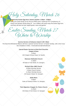**Sunrise Service at Ordnance Island: 6.307.30am**

The East End Ministerial Alliance will host a special 'Sunrise Service' on Easter Sunday, with a Hot Cross Bun breakfast to follow. Email ebenezer@methodist.bm.

S**pecial Easter Services at East End Churches**

**Chapel of Ease** 9.00am #20 Chapel of Ease Road, St. David's

**Ebenezer Methodist Church**

11.00am #9 Duke of York Street, St. George's

**Richard Allen AME Church**

8.00am Worship Service 9.30am Church School 11.00am Worship Service #23 Queen Street, St. George's

**Stella Maris**

9.00am Duke of Clarence Street, St. George's

**Their Majesties Chappel, St. Peters Church**

11.00am #33 Duke of York Street, St. George's

Holy Saturday, March 26

Easter Sunday, March 27

Where to Worship

**Community Easter Egg Hunt, Somers Garden: 2.00pm 5.00pm.** Bring your entire family out for this fun FREE event, hosted by PLP Constituency #1 branch and Senator Renee Ming JP. Your children will surely enjoy the Easter Egg Hunt, and there will also be food, baked goods, races and games!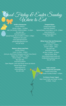**Wahoo's Bistro and Patio** GOOD FRIDAY: Lunch 11.00am 5.00pm (And yes, they'll have Fishcakes and Hot Cross Buns!) Happy Hour 5.00pm 7.00pm

Dinner 6.00pm - 10.00pm Bar open late. EASTER SUNDAY Open Regular Lunch and Dinner Hours (as above) Special Easter Menu www.wahoos.bm wahoos@logic.bm 441.297.1307

**Griffin's Restaurant** GOOD FRIDAY: Dinner 6.00pm - 10.00pm with  $LIVE/MUSIC$  FROM 8.00pm  $/$ - 11.00pm Bar open late. EASTER SUNDAY Special Easter Brunch Buffet 11.30am - 4.00pm \$55/person plus grats www.stgeorgesclub.bm piero@stgeorgesclub.com 441.297.4235.

**Tempest Bistro** Closed Good Friday EASTER SUNDAY Special Easter Lunch Menu: 11.30 - 2.30pm www.tempest.bm tempestbistro@link.bm 441.297.0861

ood Friday & Easter Sunday

**White Horse Pub and Restaurant** GOOD FRIDAY Lunch 11.30am - 3.00pm  $D$ inner 5.30pm  $/10$ pm Bar open late. EASTER SUNDAY All Day 11.00am - 10.00pm Special Easter Menu www.whitehorsebermuda.com info@whitehorsebermuda.com 441.297.1838

**Grab a Snack! Somers Supermart and Buffet** Closed Good Friday Open Easter Sunday 8.00am 6.00pm

**Yo Cherry Frozen Yogurt** Open Good Friday and Easter Sunday 10.00am 10.pm